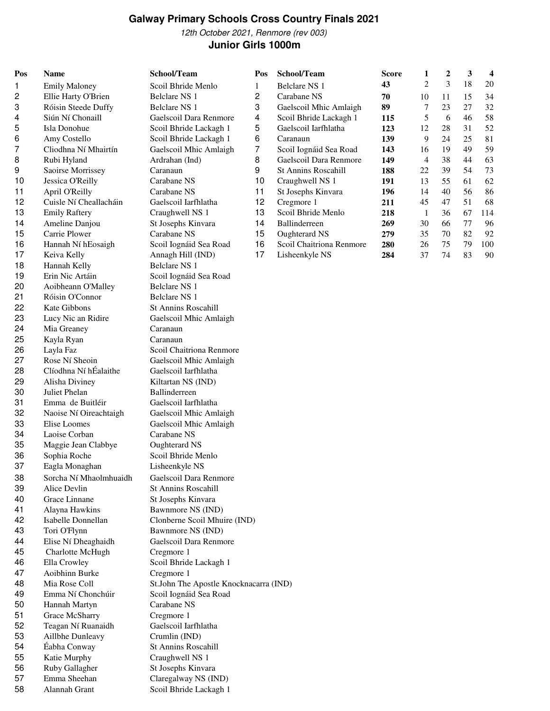# **Galway Primary Schools Cross Country Finals 2021**

12th October 2021, Renmore (rev 003) **Junior Girls 1000m**

| Pos      | <b>Name</b>                   | School/Team                            | Pos | School/Team                | <b>Score</b> | 1              | $\boldsymbol{2}$ | 3  | 4   |
|----------|-------------------------------|----------------------------------------|-----|----------------------------|--------------|----------------|------------------|----|-----|
| 1        | <b>Emily Maloney</b>          | Scoil Bhride Menlo                     | 1   | <b>Belclare NS 1</b>       | 43           | 2              | 3                | 18 | 20  |
| 2        | Ellie Harty O'Brien           | Belclare NS 1                          | 2   | Carabane NS                | 70           | 10             | 11               | 15 | 34  |
| 3        | Róisin Steede Duffy           | Belclare NS 1                          | 3   | Gaelscoil Mhic Amlaigh     | 89           | 7              | 23               | 27 | 32  |
| 4        | Siún Ní Chonaill              | Gaelscoil Dara Renmore                 | 4   | Scoil Bhride Lackagh 1     | 115          | 5              | 6                | 46 | 58  |
| 5        | Isla Donohue                  | Scoil Bhride Lackagh 1                 | 5   | Gaelscoil Iarfhlatha       | 123          | 12             | $28\,$           | 31 | 52  |
| 6        | Amy Costello                  | Scoil Bhride Lackagh 1                 | 6   | Caranaun                   | 139          | 9              | 24               | 25 | 81  |
| 7        | Cliodhna Ní Mhairtín          | Gaelscoil Mhic Amlaigh                 | 7   | Scoil Iognáid Sea Road     | 143          | 16             | 19               | 49 | 59  |
| 8        | Rubi Hyland                   | Ardrahan (Ind)                         | 8   | Gaelscoil Dara Renmore     | 149          | $\overline{4}$ | 38               | 44 | 63  |
| 9        | Saoirse Morrissey             | Caranaun                               | 9   | <b>St Annins Roscahill</b> | 188          | 22             | 39               | 54 | 73  |
| 10       | Jessica O'Reilly              | Carabane NS                            | 10  | Craughwell NS 1            | 191          | 13             | 55               | 61 | 62  |
| 11       | April O'Reilly                | Carabane NS                            | 11  | St Josephs Kinvara         | 196          | 14             | 40               | 56 | 86  |
| 12       | Cuisle Ní Cheallacháin        | Gaelscoil Iarfhlatha                   | 12  | Cregmore 1                 | 211          | 45             | 47               | 51 | 68  |
| 13       | <b>Emily Raftery</b>          | Craughwell NS 1                        | 13  | Scoil Bhride Menlo         | 218          | $\mathbf{1}$   | 36               | 67 | 114 |
| 14       | Ameline Danjou                | St Josephs Kinvara                     | 14  | Ballinderreen              | 269          | 30             | 66               | 77 | 96  |
| 15       | Carrie Plower                 | Carabane NS                            | 15  | Oughterard NS              | 279          | 35             | 70               | 82 | 92  |
| 16       | Hannah Ní hEosaigh            | Scoil Iognáid Sea Road                 | 16  | Scoil Chaitriona Renmore   | 280          | 26             | 75               | 79 | 100 |
| 17       | Keiva Kelly                   | Annagh Hill (IND)                      | 17  | Lisheenkyle NS             | 284          | 37             | 74               | 83 | 90  |
| 18       | Hannah Kelly                  | Belclare NS 1                          |     |                            |              |                |                  |    |     |
| 19       | Erin Nic Artáin               | Scoil Iognáid Sea Road                 |     |                            |              |                |                  |    |     |
| 20       | Aoibheann O'Malley            | Belclare NS 1                          |     |                            |              |                |                  |    |     |
| 21       | Róisin O'Connor               | Belclare NS 1                          |     |                            |              |                |                  |    |     |
| 22       | Kate Gibbons                  | St Annins Roscahill                    |     |                            |              |                |                  |    |     |
| 23       | Lucy Nic an Ridire            | Gaelscoil Mhic Amlaigh                 |     |                            |              |                |                  |    |     |
| 24       | Mia Greaney                   | Caranaun                               |     |                            |              |                |                  |    |     |
| 25       | Kayla Ryan                    | Caranaun                               |     |                            |              |                |                  |    |     |
| 26       | Layla Faz                     | Scoil Chaitriona Renmore               |     |                            |              |                |                  |    |     |
| 27       | Rose Ní Sheoin                | Gaelscoil Mhic Amlaigh                 |     |                            |              |                |                  |    |     |
| 28       | Clíodhna Ní hÉalaithe         | Gaelscoil Iarfhlatha                   |     |                            |              |                |                  |    |     |
| 29       | Alisha Diviney                | Kiltartan NS (IND)                     |     |                            |              |                |                  |    |     |
| 30       | Juliet Phelan                 | Ballinderreen                          |     |                            |              |                |                  |    |     |
| 31       | Emma de Buitléir              | Gaelscoil Iarfhlatha                   |     |                            |              |                |                  |    |     |
| 32       | Naoise Ní Oireachtaigh        | Gaelscoil Mhic Amlaigh                 |     |                            |              |                |                  |    |     |
| 33<br>34 | Elise Loomes<br>Laoise Corban | Gaelscoil Mhic Amlaigh                 |     |                            |              |                |                  |    |     |
| 35       | Maggie Jean Clabbye           | Carabane NS<br>Oughterard NS           |     |                            |              |                |                  |    |     |
| 36       | Sophia Roche                  | Scoil Bhride Menlo                     |     |                            |              |                |                  |    |     |
| 37       | Eagla Monaghan                | Lisheenkyle NS                         |     |                            |              |                |                  |    |     |
| 38       | Sorcha Ní Mhaolmhuaidh        | Gaelscoil Dara Renmore                 |     |                            |              |                |                  |    |     |
| 39       | Alice Devlin                  | <b>St Annins Roscahill</b>             |     |                            |              |                |                  |    |     |
| 40       | Grace Linnane                 | St Josephs Kinvara                     |     |                            |              |                |                  |    |     |
| 41       | Alayna Hawkins                | Bawnmore NS (IND)                      |     |                            |              |                |                  |    |     |
| 42       | Isabelle Donnellan            | Clonberne Scoil Mhuire (IND)           |     |                            |              |                |                  |    |     |
| 43       | Tori O'Flynn                  | Bawnmore NS (IND)                      |     |                            |              |                |                  |    |     |
| 44       | Elise Ní Dheaghaidh           | Gaelscoil Dara Renmore                 |     |                            |              |                |                  |    |     |
| 45       | Charlotte McHugh              | Cregmore 1                             |     |                            |              |                |                  |    |     |
| 46       | Ella Crowley                  | Scoil Bhride Lackagh 1                 |     |                            |              |                |                  |    |     |
| 47       | Aoibhinn Burke                | Cregmore 1                             |     |                            |              |                |                  |    |     |
| 48       | Mia Rose Coll                 | St.John The Apostle Knocknacarra (IND) |     |                            |              |                |                  |    |     |
| 49       | Emma Ní Chonchúir             | Scoil Iognáid Sea Road                 |     |                            |              |                |                  |    |     |
| 50       | Hannah Martyn                 | Carabane NS                            |     |                            |              |                |                  |    |     |
| 51       | Grace McSharry                | Cregmore 1                             |     |                            |              |                |                  |    |     |
| 52       | Teagan Ní Ruanaidh            | Gaelscoil Iarfhlatha                   |     |                            |              |                |                  |    |     |
| 53       | Aillbhe Dunleavy              | Crumlin (IND)                          |     |                            |              |                |                  |    |     |
| 54       | Éabha Conway                  | St Annins Roscahill                    |     |                            |              |                |                  |    |     |
| 55       | Katie Murphy                  | Craughwell NS 1                        |     |                            |              |                |                  |    |     |
| 56       | Ruby Gallagher                | St Josephs Kinvara                     |     |                            |              |                |                  |    |     |
| 57       | Emma Sheehan                  | Claregalway NS (IND)                   |     |                            |              |                |                  |    |     |
| 58       | Alannah Grant                 | Scoil Bhride Lackagh 1                 |     |                            |              |                |                  |    |     |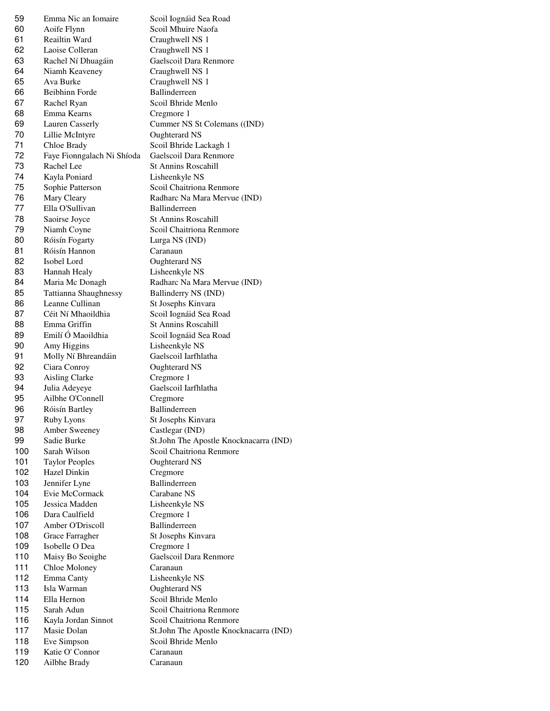Emma Nic an Iomaire Scoil Iognáid Sea Road Aoife Flynn Scoil Mhuire Naofa Reailtin Ward Craughwell NS 1 Laoise Colleran Craughwell NS 1 Rachel Ní Dhuagáin Gaelscoil Dara Renmore Niamh Keaveney Craughwell NS 1 Ava Burke Craughwell NS 1 Beibhinn Forde Ballinderreen Rachel Ryan Scoil Bhride Menlo Emma Kearns Cregmore 1 Lauren Casserly Cummer NS St Colemans ((IND) Lillie McIntyre Oughterard NS Chloe Brady Scoil Bhride Lackagh 1 Faye Fionngalach Ni Shíoda Gaelscoil Dara Renmore Rachel Lee St Annins Roscahill Kayla Poniard Lisheenkyle NS Sophie Patterson Scoil Chaitriona Renmore Mary Cleary Radharc Na Mara Mervue (IND) Ella O'Sullivan Ballinderreen Saoirse Joyce St Annins Roscahill Niamh Coyne Scoil Chaitriona Renmore Róisín Fogarty Lurga NS (IND) Róisín Hannon Caranaun 82 Isobel Lord Oughterard NS 83 Hannah Healy Lisheenkyle NS 84 Maria Mc Donagh Radharc Na Mara Mervue (IND) Tattianna Shaughnessy Ballinderry NS (IND) 86 Leanne Cullinan St Josephs Kinvara 87 Céit Ní Mhaoildhia Scoil Iognáid Sea Road 88 Emma Griffin St Annins Roscahill 89 Emilí Ó Maoildhia Scoil Iognáid Sea Road Amy Higgins Lisheenkyle NS Molly Ní Bhreandáin Gaelscoil Iarfhlatha Ciara Conroy Oughterard NS 93 Aisling Clarke Cregmore 1 Julia Adeyeye Gaelscoil Iarfhlatha Ailbhe O'Connell Cregmore 96 Róisín Bartley Ballinderreen 97 Ruby Lyons St Josephs Kinvara Amber Sweeney Castlegar (IND) 100 Sarah Wilson Scoil Chaitriona Renmore 101 Taylor Peoples Oughterard NS 102 Hazel Dinkin Cregmore 103 Jennifer Lyne Ballinderreen Evie McCormack Carabane NS Jessica Madden Lisheenkyle NS 106 Dara Caulfield Cregmore 1 107 Amber O'Driscoll Ballinderreen 108 Grace Farragher St Josephs Kinvara Isobelle O Dea Cregmore 1 Maisy Bo Seoighe Gaelscoil Dara Renmore 111 Chloe Moloney Caranaun 112 Emma Canty Lisheenkyle NS 113 Isla Warman Oughterard NS Ella Hernon Scoil Bhride Menlo Sarah Adun Scoil Chaitriona Renmore Kayla Jordan Sinnot Scoil Chaitriona Renmore 118 Eve Simpson Scoil Bhride Menlo 119 Katie O' Connor Caranaun Ailbhe Brady Caranaun

 Sadie Burke St.John The Apostle Knocknacarra (IND) Masie Dolan St.John The Apostle Knocknacarra (IND)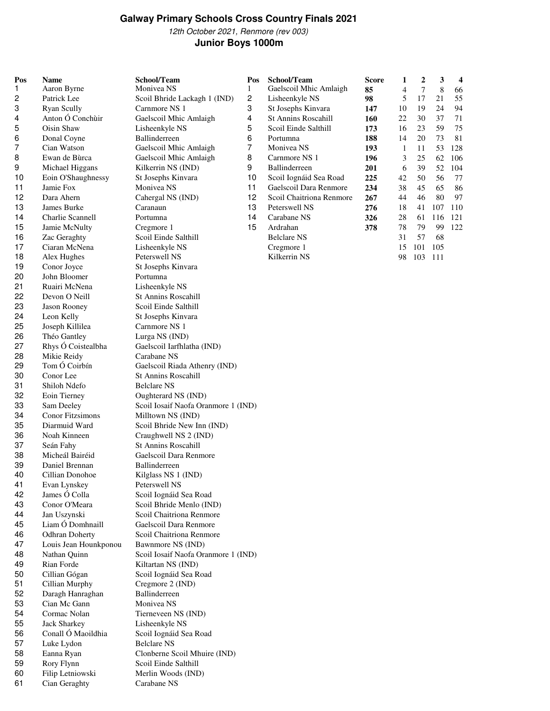## **Galway Primary Schools Cross Country Finals 2021**

12th October 2021, Renmore (rev 003) **Junior Boys 1000m**

| Pos      | <b>Name</b>                    | School/Team                                          | Pos                     | School/Team                               | <b>Score</b> | 1            | $\boldsymbol{2}$ | 3          | 4          |
|----------|--------------------------------|------------------------------------------------------|-------------------------|-------------------------------------------|--------------|--------------|------------------|------------|------------|
| 1        | Aaron Byrne                    | Monivea NS                                           | $\mathbf{1}$            | Gaelscoil Mhic Amlaigh                    | 85           | 4            | $\tau$           | 8          | 66         |
| 2        | Patrick Lee                    | Scoil Bhride Lackagh 1 (IND)                         | $\overline{c}$          | Lisheenkyle NS                            | 98           | 5            | 17               | 21         | 55         |
| 3        | <b>Ryan Scully</b>             | Carnmore NS 1                                        | 3                       | St Josephs Kinvara                        | 147          | 10           | 19               | 24         | 94         |
| 4        | Anton Ó Conchuir               | Gaelscoil Mhic Amlaigh                               | $\overline{\mathbf{4}}$ | <b>St Annins Roscahill</b>                | 160          | 22           | 30               | 37         | 71         |
| 5        | Oisin Shaw                     | Lisheenkyle NS                                       | 5                       | Scoil Einde Salthill                      | 173          | 16           | 23               | 59         | 75         |
| 6        | Donal Coyne                    | Ballinderreen                                        | 6                       | Portumna                                  | 188          | 14           | 20               | 73         | 81         |
| 7        | Cian Watson                    | Gaelscoil Mhic Amlaigh                               | $\overline{7}$          | Monivea NS                                | 193          | $\mathbf{1}$ | 11               | 53         | 128        |
| 8        | Ewan de Bùrca                  | Gaelscoil Mhic Amlaigh                               | 8                       | Carnmore NS 1                             | 196          | 3            | 25               | 62         | 106        |
| 9        | Michael Higgans                | Kilkerrin NS (IND)                                   | 9                       | Ballinderreen                             | 201          | 6            | 39               | 52         | 104        |
| 10       | Eoin O'Shaughnessy             | St Josephs Kinvara                                   | 10                      | Scoil Iognáid Sea Road                    | 225          | 42           | 50               | 56         | 77         |
| 11       | Jamie Fox                      | Monivea NS                                           | 11                      | Gaelscoil Dara Renmore                    | 234          | 38           | 45               | 65         | 86         |
| 12<br>13 | Dara Ahern<br>James Burke      | Cahergal NS (IND)<br>Caranaun                        | 12<br>13                | Scoil Chaitriona Renmore<br>Peterswell NS | 267          | 44<br>18     | 46               | 80         | 97         |
| 14       | Charlie Scannell               | Portumna                                             | 14                      | Carabane NS                               | 276<br>326   | 28           | 41<br>61         | 107<br>116 | 110<br>121 |
| 15       | Jamie McNulty                  | Cregmore 1                                           | 15                      | Ardrahan                                  | 378          | 78           | 79               | 99         | 122        |
| 16       | Zac Geraghty                   | Scoil Einde Salthill                                 |                         | <b>Belclare NS</b>                        |              | 31           | 57               | 68         |            |
| 17       | Ciaran McNena                  | Lisheenkyle NS                                       |                         | Cregmore 1                                |              | 15           | 101              | 105        |            |
| 18       | Alex Hughes                    | Peterswell NS                                        |                         | Kilkerrin NS                              |              | 98           | 103              | 111        |            |
| 19       | Conor Joyce                    | St Josephs Kinvara                                   |                         |                                           |              |              |                  |            |            |
| 20       | John Bloomer                   | Portumna                                             |                         |                                           |              |              |                  |            |            |
| 21       | Ruairi McNena                  | Lisheenkyle NS                                       |                         |                                           |              |              |                  |            |            |
| 22       | Devon O Neill                  | St Annins Roscahill                                  |                         |                                           |              |              |                  |            |            |
| 23       | Jason Rooney                   | Scoil Einde Salthill                                 |                         |                                           |              |              |                  |            |            |
| 24       | Leon Kelly                     | St Josephs Kinvara                                   |                         |                                           |              |              |                  |            |            |
| 25       | Joseph Killilea                | Carnmore NS 1                                        |                         |                                           |              |              |                  |            |            |
| 26       | Théo Gantley                   | Lurga NS (IND)                                       |                         |                                           |              |              |                  |            |            |
| 27       | Rhys Ó Coistealbha             | Gaelscoil Iarfhlatha (IND)                           |                         |                                           |              |              |                  |            |            |
| 28       | Mikie Reidy                    | Carabane NS                                          |                         |                                           |              |              |                  |            |            |
| 29       | Tom Ó Coirbín                  | Gaelscoil Riada Athenry (IND)                        |                         |                                           |              |              |                  |            |            |
| 30       | Conor Lee                      | <b>St Annins Roscahill</b>                           |                         |                                           |              |              |                  |            |            |
| 31       | Shiloh Ndefo                   | <b>Belclare NS</b>                                   |                         |                                           |              |              |                  |            |            |
| 32       | Eoin Tierney                   | Oughterard NS (IND)                                  |                         |                                           |              |              |                  |            |            |
| 33       | Sam Deeley                     | Scoil Iosaif Naofa Oranmore 1 (IND)                  |                         |                                           |              |              |                  |            |            |
| 34       | Conor Fitzsimons               | Milltown NS (IND)                                    |                         |                                           |              |              |                  |            |            |
| 35<br>36 | Diarmuid Ward                  | Scoil Bhride New Inn (IND)                           |                         |                                           |              |              |                  |            |            |
| 37       | Noah Kinneen<br>Seán Fahy      | Craughwell NS 2 (IND)<br>St Annins Roscahill         |                         |                                           |              |              |                  |            |            |
| 38       | Micheál Bairéid                | Gaelscoil Dara Renmore                               |                         |                                           |              |              |                  |            |            |
| 39       | Daniel Brennan                 | Ballinderreen                                        |                         |                                           |              |              |                  |            |            |
| 40       | Cillian Donohoe                | Kilglass NS 1 (IND)                                  |                         |                                           |              |              |                  |            |            |
| 41       | Evan Lynskey                   | Peterswell NS                                        |                         |                                           |              |              |                  |            |            |
| 42       | James Ó Colla                  | Scoil Iognáid Sea Road                               |                         |                                           |              |              |                  |            |            |
| 43       | Conor O'Meara                  | Scoil Bhride Menlo (IND)                             |                         |                                           |              |              |                  |            |            |
| 44       | Jan Uszynski                   | Scoil Chaitriona Renmore                             |                         |                                           |              |              |                  |            |            |
| 45       | Liam Ó Domhnaill               | Gaelscoil Dara Renmore                               |                         |                                           |              |              |                  |            |            |
| 46       | Odhran Doherty                 | Scoil Chaitriona Renmore                             |                         |                                           |              |              |                  |            |            |
| 47       | Louis Jean Hounkponou          | Bawnmore NS (IND)                                    |                         |                                           |              |              |                  |            |            |
| 48       | Nathan Quinn                   | Scoil Iosaif Naofa Oranmore 1 (IND)                  |                         |                                           |              |              |                  |            |            |
| 49       | Rian Forde                     | Kiltartan NS (IND)                                   |                         |                                           |              |              |                  |            |            |
| 50       | Cillian Gógan                  | Scoil Iognáid Sea Road                               |                         |                                           |              |              |                  |            |            |
| 51       | Cillian Murphy                 | Cregmore 2 (IND)                                     |                         |                                           |              |              |                  |            |            |
| 52       | Daragh Hanraghan               | Ballinderreen                                        |                         |                                           |              |              |                  |            |            |
| 53       | Cian Mc Gann                   | Monivea NS                                           |                         |                                           |              |              |                  |            |            |
| 54       | Cormac Nolan                   | Tierneveen NS (IND)                                  |                         |                                           |              |              |                  |            |            |
| 55       | Jack Sharkey                   | Lisheenkyle NS                                       |                         |                                           |              |              |                  |            |            |
| 56       | Conall Ó Maoildhia             | Scoil Iognáid Sea Road                               |                         |                                           |              |              |                  |            |            |
| 57       | Luke Lydon                     | <b>Belclare NS</b>                                   |                         |                                           |              |              |                  |            |            |
| 58       | Eanna Ryan                     | Clonberne Scoil Mhuire (IND)<br>Scoil Einde Salthill |                         |                                           |              |              |                  |            |            |
| 59<br>60 | Rory Flynn<br>Filip Letniowski | Merlin Woods (IND)                                   |                         |                                           |              |              |                  |            |            |
| 61       | Cian Geraghty                  | Carabane NS                                          |                         |                                           |              |              |                  |            |            |
|          |                                |                                                      |                         |                                           |              |              |                  |            |            |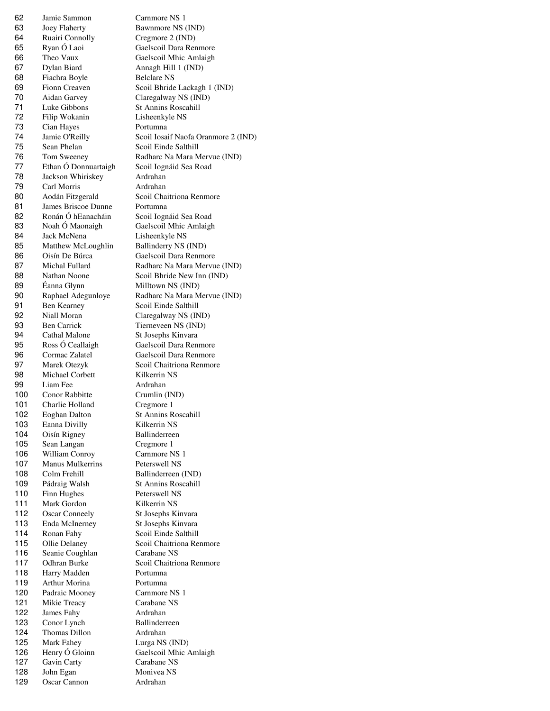Jamie Sammon Carnmore NS 1 Joey Flaherty Bawnmore NS (IND) Ruairi Connolly Cregmore 2 (IND) Ryan Ó Laoi Gaelscoil Dara Renmore Theo Vaux Gaelscoil Mhic Amlaigh Dylan Biard Annagh Hill 1 (IND) 68 Fiachra Boyle Belclare NS Fionn Creaven Scoil Bhride Lackagh 1 (IND) Aidan Garvey Claregalway NS (IND) Luke Gibbons St Annins Roscahill Filip Wokanin Lisheenkyle NS Cian Hayes Portumna Jamie O'Reilly Scoil Iosaif Naofa Oranmore 2 (IND) Sean Phelan Scoil Einde Salthill Tom Sweeney Radharc Na Mara Mervue (IND) Ethan Ó Donnuartaigh Scoil Iognáid Sea Road Jackson Whiriskey Ardrahan Carl Morris Ardrahan Aodán Fitzgerald Scoil Chaitriona Renmore James Briscoe Dunne Portumna Ronán Ó hEanacháin Scoil Iognáid Sea Road Noah Ó Maonaigh Gaelscoil Mhic Amlaigh Jack McNena Lisheenkyle NS 85 Matthew McLoughlin Ballinderry NS (IND) Oisín De Búrca Gaelscoil Dara Renmore Michal Fullard Radharc Na Mara Mervue (IND) Nathan Noone Scoil Bhride New Inn (IND) 89 Éanna Glynn Milltown NS (IND) Raphael Adegunloye Radharc Na Mara Mervue (IND) Ben Kearney Scoil Einde Salthill Niall Moran Claregalway NS (IND) Ben Carrick Tierneveen NS (IND) 94 Cathal Malone St Josephs Kinvara Ross Ó Ceallaigh Gaelscoil Dara Renmore Cormac Zalatel Gaelscoil Dara Renmore 97 Marek Otezyk Scoil Chaitriona Renmore 98 Michael Corbett Kilkerrin NS 99 Liam Fee Ardrahan Conor Rabbitte Crumlin (IND) 101 Charlie Holland Cregmore 1 102 Eoghan Dalton St Annins Roscahill 103 Eanna Divilly Kilkerrin NS 104 Oisín Rigney Ballinderreen 105 Sean Langan Cregmore 1 106 William Conroy Carnmore NS 1 Manus Mulkerrins Peterswell NS 108 Colm Frehill Ballinderreen (IND) Pádraig Walsh St Annins Roscahill 110 Finn Hughes Peterswell NS 111 Mark Gordon Kilkerrin NS 112 Oscar Conneely St Josephs Kinvara Enda McInerney St Josephs Kinvara 114 Ronan Fahy Scoil Einde Salthill 115 Ollie Delaney Scoil Chaitriona Renmore Seanie Coughlan Carabane NS 117 Odhran Burke Scoil Chaitriona Renmore 118 Harry Madden Portumna Arthur Morina Portumna Padraic Mooney Carnmore NS 1 Mikie Treacy Carabane NS James Fahy Ardrahan 123 Conor Lynch Ballinderreen 124 Thomas Dillon Ardrahan Mark Fahey Lurga NS (IND) Henry Ó Gloinn Gaelscoil Mhic Amlaigh 127 Gavin Carty Carabane NS 128 John Egan Monivea NS Oscar Cannon Ardrahan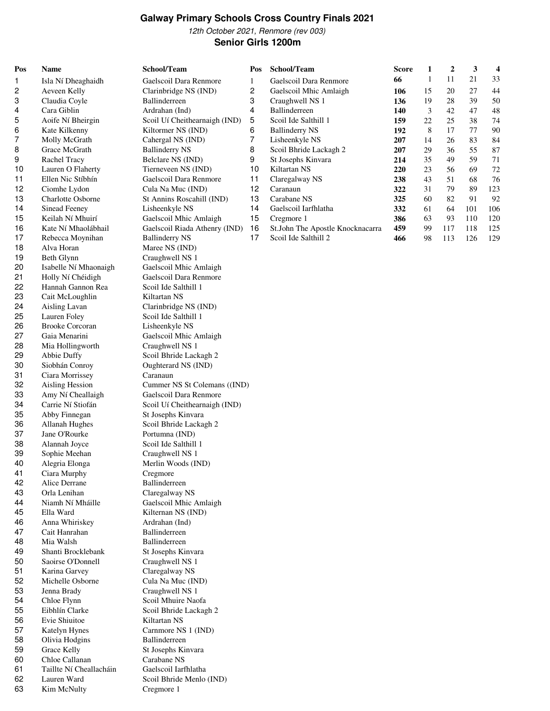#### **Galway Primary Schools Cross Country Finals 2021**

12th October 2021, Renmore (rev 003) **Senior Girls 1200m**

18 Alva Horan Maree NS (IND) 19 Beth Glynn Craughwell NS 1 Isabelle Ní Mhaonaigh Gaelscoil Mhic Amlaigh Holly Ní Chéidigh Gaelscoil Dara Renmore 22 Hannah Gannon Rea Scoil Ide Salthill 1 23 Cait McLoughlin Kiltartan NS Aisling Lavan Clarinbridge NS (IND) 25 Lauren Foley Scoil Ide Salthill 1 Brooke Corcoran Lisheenkyle NS Gaia Menarini Gaelscoil Mhic Amlaigh Mia Hollingworth Craughwell NS 1 29 Abbie Duffy Scoil Bhride Lackagh 2 Siobhán Conroy Oughterard NS (IND) Ciara Morrissey Caranaun Aisling Hession Cummer NS St Colemans ((IND) Amy Ní Cheallaigh Gaelscoil Dara Renmore Carrie Ní Stiofán Scoil Uí Cheithearnaigh (IND) Abby Finnegan St Josephs Kinvara Allanah Hughes Scoil Bhride Lackagh 2 Jane O'Rourke Portumna (IND) Alannah Joyce Scoil Ide Salthill 1 Sophie Meehan Craughwell NS 1 40 Alegria Elonga Merlin Woods (IND) Ciara Murphy Cregmore Alice Derrane Ballinderreen Orla Lenihan Claregalway NS Niamh Ní Mháille Gaelscoil Mhic Amlaigh 45 Ella Ward Kilternan NS (IND) Anna Whiriskey Ardrahan (Ind) Cait Hanrahan Ballinderreen Mia Walsh Ballinderreen Shanti Brocklebank St Josephs Kinvara Saoirse O'Donnell Craughwell NS 1 Karina Garvey Claregalway NS Michelle Osborne Cula Na Muc (IND) Jenna Brady Craughwell NS 1 54 Chloe Flynn Scoil Mhuire Naofa Eibhlín Clarke Scoil Bhride Lackagh 2 56 Evie Shiuitoe Kiltartan NS Katelyn Hynes Carnmore NS 1 (IND) 58 Olivia Hodgins Ballinderreen Grace Kelly St Josephs Kinvara Chloe Callanan Carabane NS Taillte Ní Cheallacháin Gaelscoil Iarfhlatha Lauren Ward Scoil Bhride Menlo (IND)

Kim McNulty Cregmore 1

**Pos Name School/Team Pos School/Team Score 1 2 3 4** Isla Ní Dheaghaidh Gaelscoil Dara Renmore 1 Gaelscoil Dara Renmore **66** 1 11 21 33 Aeveen Kelly Clarinbridge NS (IND) 2 Gaelscoil Mhic Amlaigh **106** 15 20 27 44 Claudia Coyle Ballinderreen 3 Craughwell NS 1 **136** 19 28 39 50 Cara Giblin Ardrahan (Ind) 4 Ballinderreen **140** 3 42 47 48 Aoife Ní Bheirgin Scoil Uí Cheithearnaigh (IND) 5 Scoil Ide Salthill 1 **159** 22 25 38 74 Kate Kilkenny Kiltormer NS (IND) 6 Ballinderry NS **192** 8 17 77 90 Molly McGrath Cahergal NS (IND) 7 Lisheenkyle NS **207** 14 26 83 84 Grace McGrath Ballinderry NS 8 Scoil Bhride Lackagh 2 **207** 29 36 55 87 Rachel Tracy Belclare NS (IND) 9 St Josephs Kinvara **214** 35 49 59 71 Lauren O Flaherty Tierneveen NS (IND) 10 Kiltartan NS **220** 23 56 69 72 Ellen Nic Stíbhín Gaelscoil Dara Renmore 11 Claregalway NS **238** 43 51 68 76 Ciomhe Lydon Cula Na Muc (IND) 12 Caranaun **322** 31 79 89 123 Charlotte Osborne St Annins Roscahill (IND) 13 Carabane NS **325** 60 82 91 92 Sinead Feeney Lisheenkyle NS 14 Gaelscoil Iarfhlatha **332** 61 64 101 106 Keilah Ní Mhuirí Gaelscoil Mhic Amlaigh 15 Cregmore 1 **386** 63 93 110 120 Kate Ní Mhaolábhail Gaelscoil Riada Athenry (IND) 16 St.John The Apostle Knocknacarra **459** 99 117 118 125 Rebecca Moynihan Ballinderry NS 17 Scoil Ide Salthill 2 **466** 98 113 126 129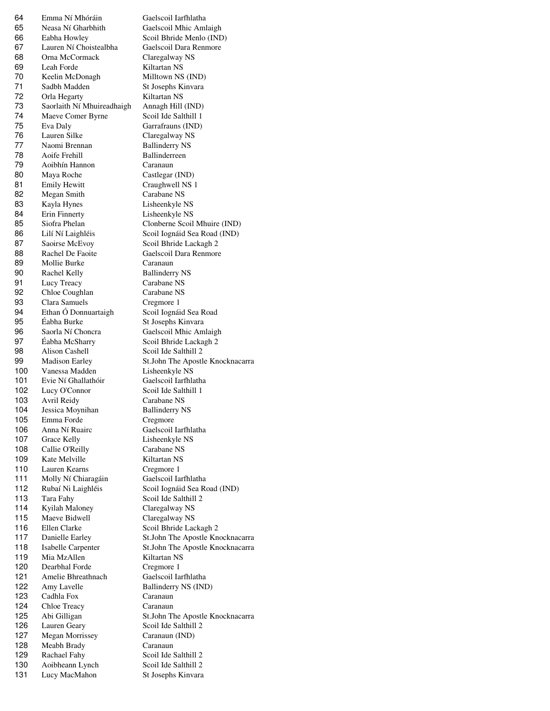Emma Ní Mhóráin Gaelscoil Iarfhlatha Neasa Ní Gharbhith Gaelscoil Mhic Amlaigh Eabha Howley Scoil Bhride Menlo (IND) Lauren Ní Choistealbha Gaelscoil Dara Renmore Orna McCormack Claregalway NS Leah Forde Kiltartan NS Keelin McDonagh Milltown NS (IND) Sadbh Madden St Josephs Kinvara 72 Orla Hegarty Kiltartan NS Saorlaith Ní Mhuireadhaigh Annagh Hill (IND) 74 Maeve Comer Byrne Scoil Ide Salthill 1 Eva Daly Garrafrauns (IND) Lauren Silke Claregalway NS 77 Naomi Brennan Ballinderry NS 78 Aoife Frehill Ballinderreen Aoibhín Hannon Caranaun Maya Roche Castlegar (IND) 81 Emily Hewitt Craughwell NS 1 Megan Smith Carabane NS Kayla Hynes Lisheenkyle NS Erin Finnerty Lisheenkyle NS Siofra Phelan Clonberne Scoil Mhuire (IND) Lilí Ní Laighléis Scoil Iognáid Sea Road (IND) 87 Saoirse McEvoy Scoil Bhride Lackagh 2 88 Rachel De Faoite Gaelscoil Dara Renmore 89 Mollie Burke Caranaun 90 Rachel Kelly Ballinderry NS Lucy Treacy Carabane NS Chloe Coughlan Carabane NS 93 Clara Samuels Cregmore 1 Ethan Ó Donnuartaigh Scoil Iognáid Sea Road Éabha Burke St Josephs Kinvara Saorla Ní Choncra Gaelscoil Mhic Amlaigh Éabha McSharry Scoil Bhride Lackagh 2 98 Alison Cashell Scoil Ide Salthill 2 Madison Earley St.John The Apostle Knocknacarra 100 Vanessa Madden Lisheenkyle NS<br>101 Evie Ní Ghallathóir Gaelscoil Iarfhlatha 101 Evie Ní Ghallathóir 102 Lucy O'Connor Scoil Ide Salthill 1 Avril Reidy Carabane NS 104 Jessica Moynihan Ballinderry NS Emma Forde Cregmore Anna Ní Ruairc Gaelscoil Iarfhlatha 107 Grace Kelly Lisheenkyle NS 108 Callie O'Reilly Carabane NS 109 Kate Melville Kiltartan NS Lauren Kearns Cregmore 1 Molly Ní Chiaragáin Gaelscoil Iarfhlatha Rubaí Ni Laighléis Scoil Iognáid Sea Road (IND) Tara Fahy Scoil Ide Salthill 2 Kyilah Maloney Claregalway NS 115 Maeve Bidwell Claregalway NS 116 Ellen Clarke Scoil Bhride Lackagh 2 Danielle Earley St.John The Apostle Knocknacarra Isabelle Carpenter St.John The Apostle Knocknacarra 119 Mia MzAllen Kiltartan NS Dearbhal Forde Cregmore 1 Amelie Bhreathnach Gaelscoil Iarfhlatha 122 Amy Lavelle Ballinderry NS (IND) Cadhla Fox Caranaun Chloe Treacy Caranaun Abi Gilligan St.John The Apostle Knocknacarra Lauren Geary Scoil Ide Salthill 2 Megan Morrissey Caranaun (IND) Meabh Brady Caranaun 129 Rachael Fahy Scoil Ide Salthill 2 Aoibheann Lynch Scoil Ide Salthill 2 131 Lucy MacMahon St Josephs Kinvara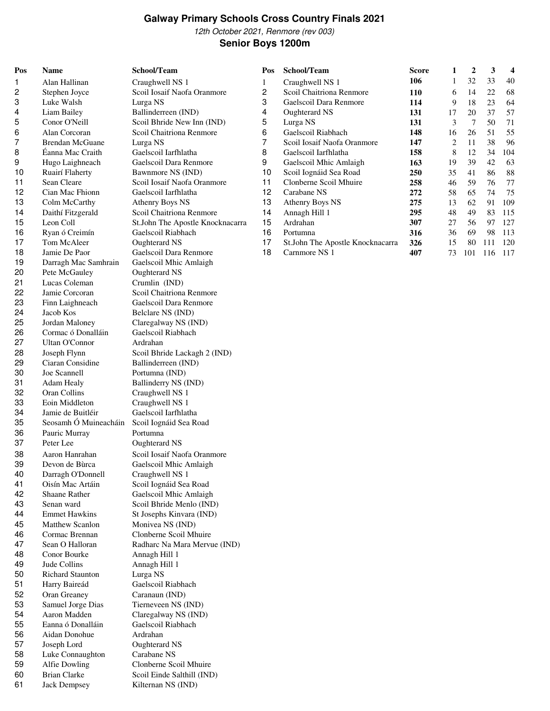### **Galway Primary Schools Cross Country Finals 2021** 12th October 2021, Renmore (rev 003)

## **Senior Boys 1200m**

| Pos | <b>Name</b>             | School/Team                               |
|-----|-------------------------|-------------------------------------------|
| 1   | Alan Hallinan           | Craughwell NS 1                           |
| 2   | Stephen Joyce           | Scoil Iosaif Naofa Oranmore               |
| 3   | Luke Walsh              | Lurga NS                                  |
| 4   | Liam Bailey             | Ballinderreen (IND)                       |
| 5   | Conor O'Neill           | Scoil Bhride New Inn (IND)                |
| 6   | Alan Corcoran           | Scoil Chaitriona Renmore                  |
| 7   | <b>Brendan McGuane</b>  | Lurga NS                                  |
| 8   | Éanna Mac Craith        | Gaelscoil Iarfhlatha                      |
| 9   | Hugo Laighneach         | Gaelscoil Dara Renmore                    |
| 10  | Ruairí Flaherty         | Bawnmore NS (IND)                         |
| 11  | Sean Cleare             | Scoil Iosaif Naofa Oranmore               |
| 12  | Cian Mac Fhionn         | Gaelscoil Iarfhlatha                      |
| 13  | Colm McCarthy           | Athenry Boys NS                           |
| 14  | Daithí Fitzgerald       | Scoil Chaitriona Renmore                  |
| 15  | Leon Coll               | St.John The Apostle Knocknacarra          |
| 16  | Ryan ó Creimín          | Gaelscoil Riabhach                        |
| 17  | Tom McAleer             |                                           |
| 18  | Jamie De Paor           | Oughterard NS<br>Gaelscoil Dara Renmore   |
| 19  |                         |                                           |
|     | Darragh Mac Samhrain    | Gaelscoil Mhic Amlaigh                    |
| 20  | Pete McGauley           | Oughterard NS                             |
| 21  | Lucas Coleman           | Crumlin (IND)<br>Scoil Chaitriona Renmore |
| 22  | Jamie Corcoran          |                                           |
| 23  | Finn Laighneach         | Gaelscoil Dara Renmore                    |
| 24  | Jacob Kos               | Belclare NS (IND)                         |
| 25  | Jordan Maloney          | Claregalway NS (IND)                      |
| 26  | Cormac ó Donalláin      | Gaelscoil Riabhach                        |
| 27  | Ultan O'Connor          | Ardrahan                                  |
| 28  | Joseph Flynn            | Scoil Bhride Lackagh 2 (IND)              |
| 29  | Ciaran Considine        | Ballinderreen (IND)                       |
| 30  | Joe Scannell            | Portumna (IND)                            |
| 31  | Adam Healy              | Ballinderry NS (IND)                      |
| 32  | Oran Collins            | Craughwell NS 1                           |
| 33  | Eoin Middleton          | Craughwell NS 1                           |
| 34  | Jamie de Buitléir       | Gaelscoil Iarfhlatha                      |
| 35  | Seosamh Ó Muineacháin   | Scoil Iognáid Sea Road                    |
| 36  | Pauric Murray           | Portumna                                  |
| 37  | Peter Lee               | Oughterard NS                             |
| 38  | Aaron Hanrahan          | Scoil Iosaif Naofa Oranmore               |
| 39  | Devon de Bùrca          | Gaelscoil Mhic Amlaigh                    |
| 40  | Darragh O'Donnell       | Craughwell NS 1                           |
| 41  | Oisín Mac Artáin        | Scoil Iognáid Sea Road                    |
| 42  | Shaane Rather           | Gaelscoil Mhic Amlaigh                    |
| 43  | Senan ward              | Scoil Bhride Menlo (IND)                  |
| 44  | <b>Emmet Hawkins</b>    | St Josephs Kinvara (IND)                  |
| 45  | <b>Matthew Scanlon</b>  | Monivea NS (IND)                          |
| 46  | Cormac Brennan          | Clonberne Scoil Mhuire                    |
| 47  | Sean O Halloran         | Radharc Na Mara Mervue (IND)              |
| 48  | Conor Bourke            | Annagh Hill 1                             |
| 49  | Jude Collins            | Annagh Hill 1                             |
| 50  | <b>Richard Staunton</b> | Lurga NS                                  |
| 51  | Harry Baireád           | Gaelscoil Riabhach                        |
| 52  | Oran Greaney            | Caranaun (IND)                            |
| 53  | Samuel Jorge Dias       | Tierneveen NS (IND)                       |
| 54  | Aaron Madden            | Claregalway NS (IND)                      |
| 55  | Eanna ó Donalláin       | Gaelscoil Riabhach                        |
| 56  | Aidan Donohue           | Ardrahan                                  |
| 57  | Joseph Lord             | Oughterard NS                             |
| 58  | Luke Connaughton        | Carabane NS                               |
| 59  | Alfie Dowling           | Clonberne Scoil Mhuire                    |
| 60  | <b>Brian Clarke</b>     | Scoil Einde Salthill (IND)                |
| 61  | Jack Dempsey            | Kilternan NS (IND)                        |

| Pos | <b>Name</b>            | School/Team                      | Pos | School/Team                      | <b>Score</b> | 1  | 2   | 3   | 4   |
|-----|------------------------|----------------------------------|-----|----------------------------------|--------------|----|-----|-----|-----|
|     | Alan Hallinan          | Craughwell NS 1                  |     | Craughwell NS 1                  | 106          |    | 32  | 33  | 40  |
| 2   | Stephen Joyce          | Scoil Iosaif Naofa Oranmore      | 2   | Scoil Chaitriona Renmore         | <b>110</b>   | 6  | 14  | 22  | -68 |
| 3   | Luke Walsh             | Lurga NS                         | 3   | Gaelscoil Dara Renmore           | 114          | 9  | 18  | 23  | 64  |
| 4   | Liam Bailey            | Ballinderreen (IND)              | 4   | Oughterard NS                    | 131          | 17 | 20  | 37  | 57  |
| 5   | Conor O'Neill          | Scoil Bhride New Inn (IND)       | 5   | Lurga NS                         | 131          | 3  | 7   | 50  | 71  |
| 6   | Alan Corcoran          | Scoil Chaitriona Renmore         | 6   | Gaelscoil Riabhach               | 148          | 16 | 26  | 51  | 55  |
| 7   | <b>Brendan McGuane</b> | Lurga NS                         |     | Scoil Iosaif Naofa Oranmore      | 147          | 2  | 11  | 38  | 96  |
| 8   | Éanna Mac Craith       | Gaelscoil Iarfhlatha             | 8   | Gaelscoil Iarfhlatha             | 158          | 8  | 12  | 34  | 104 |
| 9   | Hugo Laighneach        | Gaelscoil Dara Renmore           | 9   | Gaelscoil Mhic Amlaigh           | 163          | 19 | 39  | 42  | 63  |
| 10  | Ruairí Flaherty        | Bawnmore NS (IND)                | 10  | Scoil Iognáid Sea Road           | 250          | 35 | 41  | 86  | 88  |
| 11  | Sean Cleare            | Scoil Iosaif Naofa Oranmore      | 11  | Clonberne Scoil Mhuire           | 258          | 46 | 59  | 76  | 77  |
| 12  | Cian Mac Fhionn        | Gaelscoil Iarfhlatha             | 12  | Carabane NS                      | 272          | 58 | 65  | 74  | -75 |
| 13  | Colm McCarthy          | Athenry Boys NS                  | 13  | Athenry Boys NS                  | 275          | 13 | 62  | 91  | 109 |
| 14  | Daithí Fitzgerald      | Scoil Chaitriona Renmore         | 14  | Annagh Hill 1                    | 295          | 48 | 49  | 83  | 115 |
| 15  | Leon Coll              | St.John The Apostle Knocknacarra | 15  | Ardrahan                         | 307          | 27 | 56  | 97  | 127 |
| 16  | Ryan ó Creimín         | Gaelscoil Riabhach               | 16  | Portumna                         | 316          | 36 | 69  | 98  | 113 |
| 17  | Tom McAleer            | Oughterard NS                    | 17  | St.John The Apostle Knocknacarra | 326          | 15 | 80  | 111 | 120 |
| 18  | Jamie De Paor          | Gaelscoil Dara Renmore           | 18  | Carnmore NS 1                    | 407          | 73 | 101 | 116 | 117 |
|     |                        |                                  |     |                                  |              |    |     |     |     |